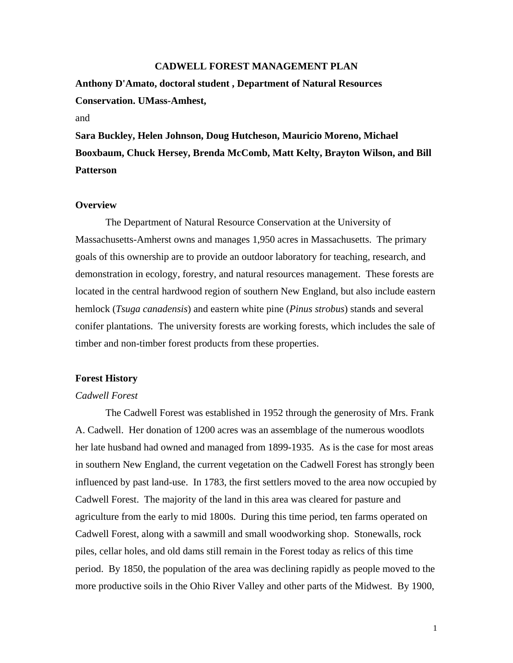#### **CADWELL FOREST MANAGEMENT PLAN**

**Anthony D'Amato, doctoral student , Department of Natural Resources Conservation. UMass-Amhest,** 

# and

**Sara Buckley, Helen Johnson, Doug Hutcheson, Mauricio Moreno, Michael Booxbaum, Chuck Hersey, Brenda McComb, Matt Kelty, Brayton Wilson, and Bill Patterson** 

### **Overview**

The Department of Natural Resource Conservation at the University of Massachusetts-Amherst owns and manages 1,950 acres in Massachusetts. The primary goals of this ownership are to provide an outdoor laboratory for teaching, research, and demonstration in ecology, forestry, and natural resources management. These forests are located in the central hardwood region of southern New England, but also include eastern hemlock (*Tsuga canadensis*) and eastern white pine (*Pinus strobus*) stands and several conifer plantations. The university forests are working forests, which includes the sale of timber and non-timber forest products from these properties.

### **Forest History**

#### *Cadwell Forest*

The Cadwell Forest was established in 1952 through the generosity of Mrs. Frank A. Cadwell. Her donation of 1200 acres was an assemblage of the numerous woodlots her late husband had owned and managed from 1899-1935. As is the case for most areas in southern New England, the current vegetation on the Cadwell Forest has strongly been influenced by past land-use. In 1783, the first settlers moved to the area now occupied by Cadwell Forest. The majority of the land in this area was cleared for pasture and agriculture from the early to mid 1800s. During this time period, ten farms operated on Cadwell Forest, along with a sawmill and small woodworking shop. Stonewalls, rock piles, cellar holes, and old dams still remain in the Forest today as relics of this time period. By 1850, the population of the area was declining rapidly as people moved to the more productive soils in the Ohio River Valley and other parts of the Midwest. By 1900,

1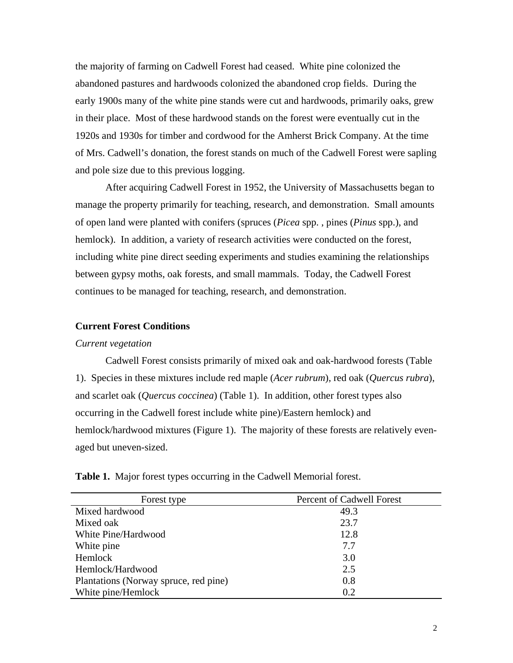the majority of farming on Cadwell Forest had ceased. White pine colonized the abandoned pastures and hardwoods colonized the abandoned crop fields. During the early 1900s many of the white pine stands were cut and hardwoods, primarily oaks, grew in their place. Most of these hardwood stands on the forest were eventually cut in the 1920s and 1930s for timber and cordwood for the Amherst Brick Company. At the time of Mrs. Cadwell's donation, the forest stands on much of the Cadwell Forest were sapling and pole size due to this previous logging.

After acquiring Cadwell Forest in 1952, the University of Massachusetts began to manage the property primarily for teaching, research, and demonstration. Small amounts of open land were planted with conifers (spruces (*Picea* spp. , pines (*Pinus* spp.), and hemlock). In addition, a variety of research activities were conducted on the forest, including white pine direct seeding experiments and studies examining the relationships between gypsy moths, oak forests, and small mammals. Today, the Cadwell Forest continues to be managed for teaching, research, and demonstration.

### **Current Forest Conditions**

#### *Current vegetation*

Cadwell Forest consists primarily of mixed oak and oak-hardwood forests (Table 1). Species in these mixtures include red maple (*Acer rubrum*), red oak (*Quercus rubra*), and scarlet oak (*Quercus coccinea*) (Table 1). In addition, other forest types also occurring in the Cadwell forest include white pine)/Eastern hemlock) and hemlock/hardwood mixtures (Figure 1). The majority of these forests are relatively evenaged but uneven-sized.

| Forest type                           | Percent of Cadwell Forest |
|---------------------------------------|---------------------------|
| Mixed hardwood                        | 49.3                      |
| Mixed oak                             | 23.7                      |
| White Pine/Hardwood                   | 12.8                      |
| White pine                            | 7.7                       |
| Hemlock                               | 3.0                       |
| Hemlock/Hardwood                      | 2.5                       |
| Plantations (Norway spruce, red pine) | 0.8                       |
| White pine/Hemlock                    | 0.2                       |

**Table 1.** Major forest types occurring in the Cadwell Memorial forest.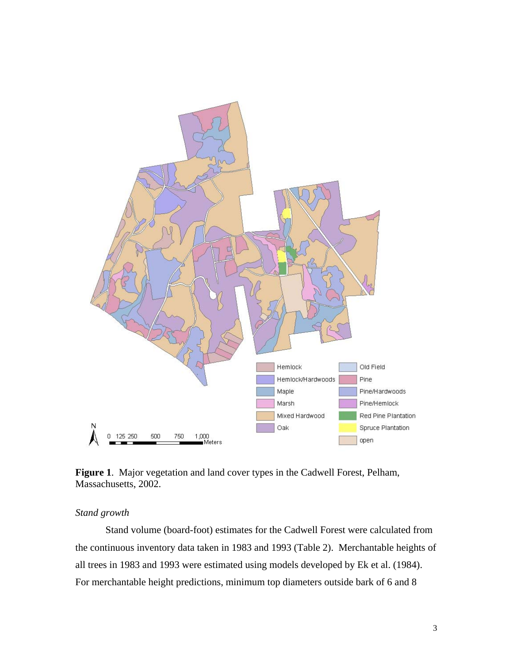



# *Stand growth*

Stand volume (board-foot) estimates for the Cadwell Forest were calculated from the continuous inventory data taken in 1983 and 1993 (Table 2). Merchantable heights of all trees in 1983 and 1993 were estimated using models developed by Ek et al. (1984). For merchantable height predictions, minimum top diameters outside bark of 6 and 8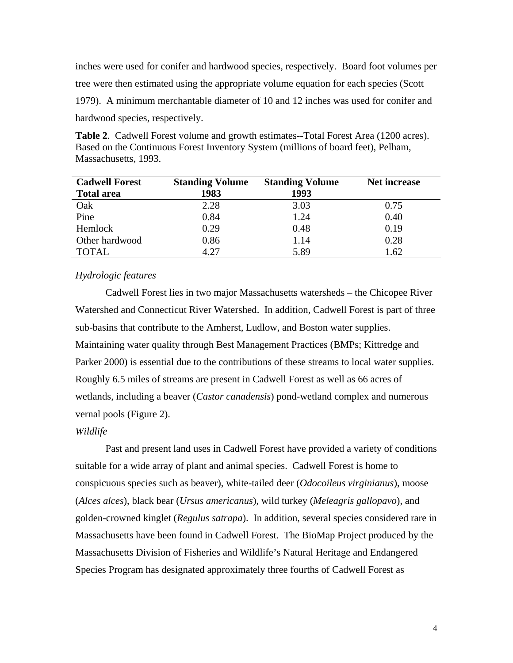inches were used for conifer and hardwood species, respectively. Board foot volumes per tree were then estimated using the appropriate volume equation for each species (Scott 1979). A minimum merchantable diameter of 10 and 12 inches was used for conifer and hardwood species, respectively.

**Table 2***.* Cadwell Forest volume and growth estimates--Total Forest Area (1200 acres). Based on the Continuous Forest Inventory System (millions of board feet), Pelham, Massachusetts, 1993.

| <b>Cadwell Forest</b> | <b>Standing Volume</b> | <b>Standing Volume</b> | <b>Net increase</b> |
|-----------------------|------------------------|------------------------|---------------------|
| <b>Total area</b>     | 1983                   | 1993                   |                     |
| Oak                   | 2.28                   | 3.03                   | 0.75                |
| Pine                  | 0.84                   | 1.24                   | 0.40                |
| Hemlock               | 0.29                   | 0.48                   | 0.19                |
| Other hardwood        | 0.86                   | 1.14                   | 0.28                |
| TOTAL                 | 4.27                   | 5.89                   | .62                 |

# *Hydrologic features*

Cadwell Forest lies in two major Massachusetts watersheds – the Chicopee River Watershed and Connecticut River Watershed. In addition, Cadwell Forest is part of three sub-basins that contribute to the Amherst, Ludlow, and Boston water supplies. Maintaining water quality through Best Management Practices (BMPs; Kittredge and Parker 2000) is essential due to the contributions of these streams to local water supplies. Roughly 6.5 miles of streams are present in Cadwell Forest as well as 66 acres of wetlands, including a beaver (*Castor canadensis*) pond-wetland complex and numerous vernal pools (Figure 2).

# *Wildlife*

Past and present land uses in Cadwell Forest have provided a variety of conditions suitable for a wide array of plant and animal species. Cadwell Forest is home to conspicuous species such as beaver), white-tailed deer (*Odocoileus virginianus*), moose (*Alces alces*), black bear (*Ursus americanus*), wild turkey (*Meleagris gallopavo*), and golden-crowned kinglet (*Regulus satrapa*). In addition, several species considered rare in Massachusetts have been found in Cadwell Forest. The BioMap Project produced by the Massachusetts Division of Fisheries and Wildlife's Natural Heritage and Endangered Species Program has designated approximately three fourths of Cadwell Forest as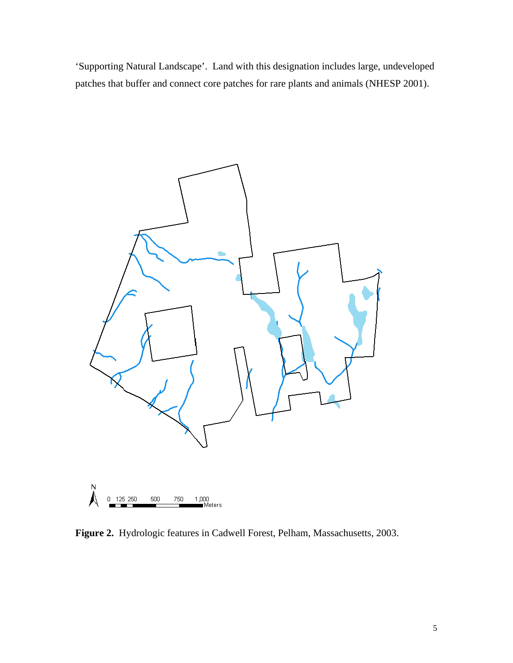'Supporting Natural Landscape'. Land with this designation includes large, undeveloped patches that buffer and connect core patches for rare plants and animals (NHESP 2001).



**Figure 2.** Hydrologic features in Cadwell Forest, Pelham, Massachusetts, 2003.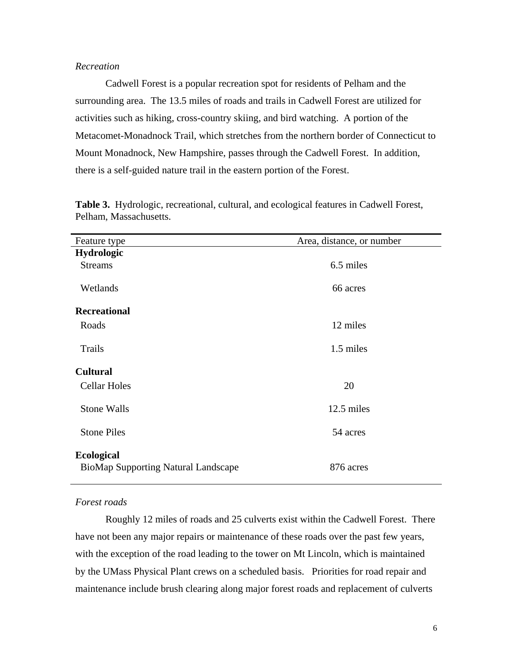# *Recreation*

Cadwell Forest is a popular recreation spot for residents of Pelham and the surrounding area. The 13.5 miles of roads and trails in Cadwell Forest are utilized for activities such as hiking, cross-country skiing, and bird watching. A portion of the Metacomet-Monadnock Trail, which stretches from the northern border of Connecticut to Mount Monadnock, New Hampshire, passes through the Cadwell Forest. In addition, there is a self-guided nature trail in the eastern portion of the Forest.

| Feature type                               | Area, distance, or number |  |  |
|--------------------------------------------|---------------------------|--|--|
| Hydrologic                                 |                           |  |  |
| <b>Streams</b>                             | 6.5 miles                 |  |  |
|                                            |                           |  |  |
| Wetlands                                   | 66 acres                  |  |  |
| <b>Recreational</b>                        |                           |  |  |
| Roads                                      | 12 miles                  |  |  |
| Trails                                     |                           |  |  |
|                                            | 1.5 miles                 |  |  |
| <b>Cultural</b>                            |                           |  |  |
| <b>Cellar Holes</b>                        | 20                        |  |  |
|                                            |                           |  |  |
| <b>Stone Walls</b>                         | 12.5 miles                |  |  |
| <b>Stone Piles</b>                         | 54 acres                  |  |  |
|                                            |                           |  |  |
| <b>Ecological</b>                          |                           |  |  |
| <b>BioMap Supporting Natural Landscape</b> | 876 acres                 |  |  |

**Table 3.** Hydrologic, recreational, cultural, and ecological features in Cadwell Forest, Pelham, Massachusetts.

#### *Forest roads*

Roughly 12 miles of roads and 25 culverts exist within the Cadwell Forest. There have not been any major repairs or maintenance of these roads over the past few years, with the exception of the road leading to the tower on Mt Lincoln, which is maintained by the UMass Physical Plant crews on a scheduled basis. Priorities for road repair and maintenance include brush clearing along major forest roads and replacement of culverts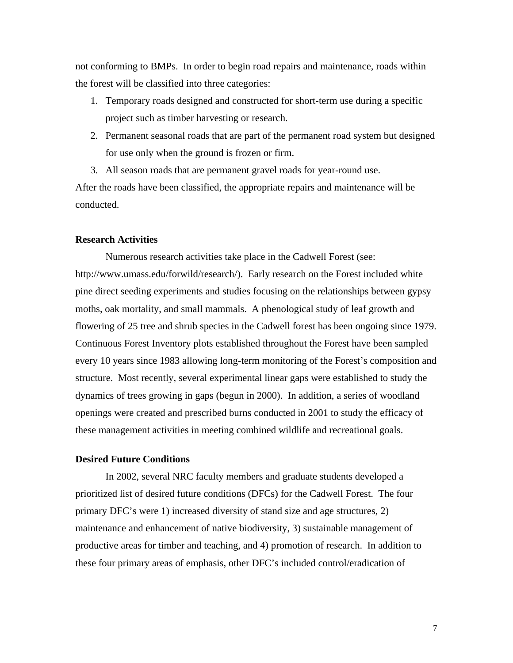not conforming to BMPs. In order to begin road repairs and maintenance, roads within the forest will be classified into three categories:

- 1. Temporary roads designed and constructed for short-term use during a specific project such as timber harvesting or research.
- 2. Permanent seasonal roads that are part of the permanent road system but designed for use only when the ground is frozen or firm.
- 3. All season roads that are permanent gravel roads for year-round use.

After the roads have been classified, the appropriate repairs and maintenance will be conducted.

## **Research Activities**

Numerous research activities take place in the Cadwell Forest (see: http://www.umass.edu/forwild/research/). Early research on the Forest included white pine direct seeding experiments and studies focusing on the relationships between gypsy moths, oak mortality, and small mammals. A phenological study of leaf growth and flowering of 25 tree and shrub species in the Cadwell forest has been ongoing since 1979. Continuous Forest Inventory plots established throughout the Forest have been sampled every 10 years since 1983 allowing long-term monitoring of the Forest's composition and structure. Most recently, several experimental linear gaps were established to study the dynamics of trees growing in gaps (begun in 2000). In addition, a series of woodland openings were created and prescribed burns conducted in 2001 to study the efficacy of these management activities in meeting combined wildlife and recreational goals.

# **Desired Future Conditions**

In 2002, several NRC faculty members and graduate students developed a prioritized list of desired future conditions (DFCs) for the Cadwell Forest. The four primary DFC's were 1) increased diversity of stand size and age structures, 2) maintenance and enhancement of native biodiversity, 3) sustainable management of productive areas for timber and teaching, and 4) promotion of research. In addition to these four primary areas of emphasis, other DFC's included control/eradication of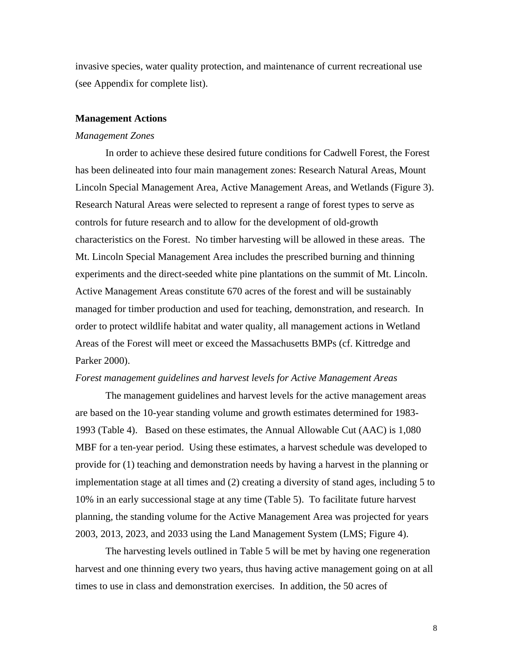invasive species, water quality protection, and maintenance of current recreational use (see Appendix for complete list).

#### **Management Actions**

### *Management Zones*

In order to achieve these desired future conditions for Cadwell Forest, the Forest has been delineated into four main management zones: Research Natural Areas, Mount Lincoln Special Management Area, Active Management Areas, and Wetlands (Figure 3). Research Natural Areas were selected to represent a range of forest types to serve as controls for future research and to allow for the development of old-growth characteristics on the Forest. No timber harvesting will be allowed in these areas. The Mt. Lincoln Special Management Area includes the prescribed burning and thinning experiments and the direct-seeded white pine plantations on the summit of Mt. Lincoln. Active Management Areas constitute 670 acres of the forest and will be sustainably managed for timber production and used for teaching, demonstration, and research. In order to protect wildlife habitat and water quality, all management actions in Wetland Areas of the Forest will meet or exceed the Massachusetts BMPs (cf. Kittredge and Parker 2000).

### *Forest management guidelines and harvest levels for Active Management Areas*

The management guidelines and harvest levels for the active management areas are based on the 10-year standing volume and growth estimates determined for 1983- 1993 (Table 4). Based on these estimates, the Annual Allowable Cut (AAC) is 1,080 MBF for a ten-year period. Using these estimates, a harvest schedule was developed to provide for (1) teaching and demonstration needs by having a harvest in the planning or implementation stage at all times and (2) creating a diversity of stand ages, including 5 to 10% in an early successional stage at any time (Table 5). To facilitate future harvest planning, the standing volume for the Active Management Area was projected for years 2003, 2013, 2023, and 2033 using the Land Management System (LMS; Figure 4).

The harvesting levels outlined in Table 5 will be met by having one regeneration harvest and one thinning every two years, thus having active management going on at all times to use in class and demonstration exercises. In addition, the 50 acres of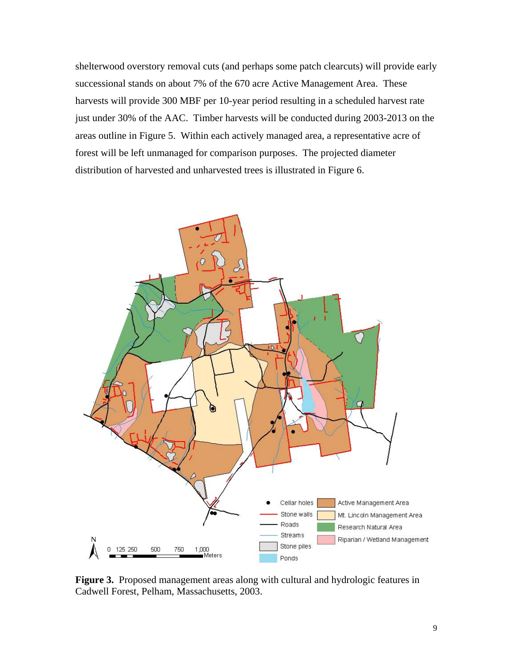shelterwood overstory removal cuts (and perhaps some patch clearcuts) will provide early successional stands on about 7% of the 670 acre Active Management Area. These harvests will provide 300 MBF per 10-year period resulting in a scheduled harvest rate just under 30% of the AAC. Timber harvests will be conducted during 2003-2013 on the areas outline in Figure 5. Within each actively managed area, a representative acre of forest will be left unmanaged for comparison purposes. The projected diameter distribution of harvested and unharvested trees is illustrated in Figure 6.



**Figure 3.** Proposed management areas along with cultural and hydrologic features in Cadwell Forest, Pelham, Massachusetts, 2003.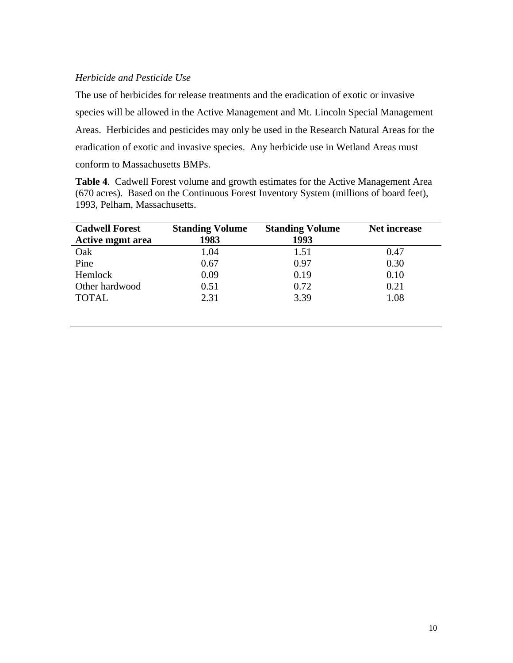# *Herbicide and Pesticide Use*

The use of herbicides for release treatments and the eradication of exotic or invasive species will be allowed in the Active Management and Mt. Lincoln Special Management Areas. Herbicides and pesticides may only be used in the Research Natural Areas for the eradication of exotic and invasive species. Any herbicide use in Wetland Areas must conform to Massachusetts BMPs.

**Table 4***.* Cadwell Forest volume and growth estimates for the Active Management Area (670 acres). Based on the Continuous Forest Inventory System (millions of board feet), 1993, Pelham, Massachusetts.

| <b>Cadwell Forest</b>   | <b>Standing Volume</b> | <b>Standing Volume</b> | <b>Net increase</b> |
|-------------------------|------------------------|------------------------|---------------------|
| <b>Active mgmt area</b> | 1983                   | 1993                   |                     |
| Oak                     | 1.04                   | 1.51                   | 0.47                |
| Pine                    | 0.67                   | 0.97                   | 0.30                |
| Hemlock                 | 0.09                   | 0.19                   | 0.10                |
| Other hardwood          | 0.51                   | 0.72                   | 0.21                |
| <b>TOTAL</b>            | 2.31                   | 3.39                   | 1.08                |
|                         |                        |                        |                     |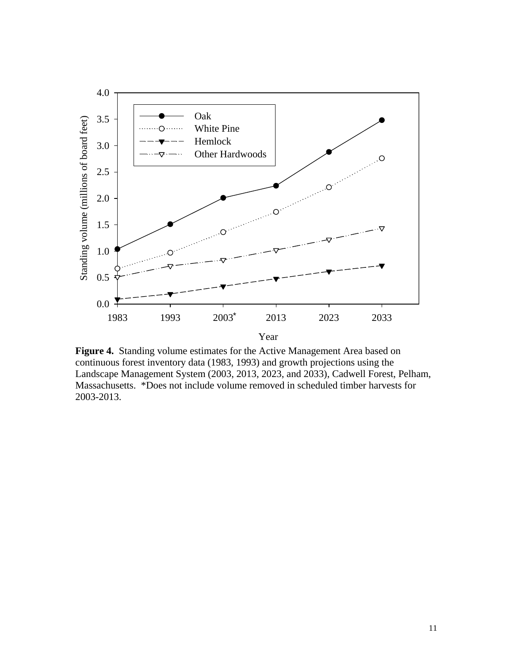

**Figure 4.** Standing volume estimates for the Active Management Area based on continuous forest inventory data (1983, 1993) and growth projections using the Landscape Management System (2003, 2013, 2023, and 2033), Cadwell Forest, Pelham, Massachusetts. \*Does not include volume removed in scheduled timber harvests for 2003-2013.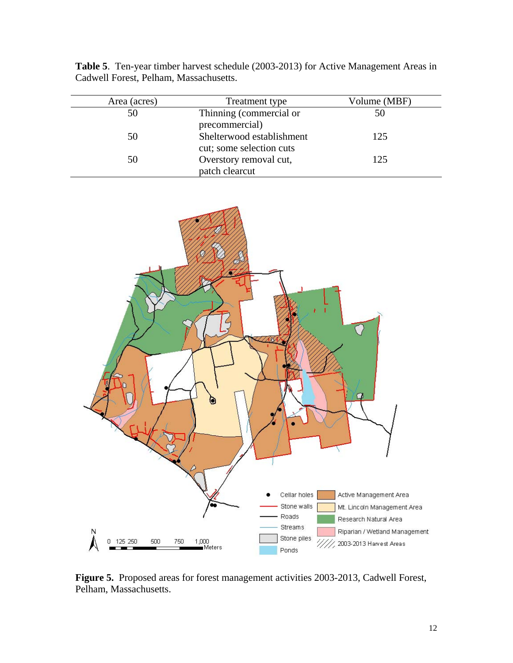| Area (acres) | Treatment type            | Volume (MBF) |
|--------------|---------------------------|--------------|
| 50           | Thinning (commercial or   | 50           |
|              | precommercial)            |              |
| 50           | Shelterwood establishment | 125          |
|              | cut; some selection cuts  |              |
| 50           | Overstory removal cut,    | 125          |
|              | patch clearcut            |              |

**Table 5**. Ten-year timber harvest schedule (2003-2013) for Active Management Areas in Cadwell Forest, Pelham, Massachusetts.



**Figure 5.** Proposed areas for forest management activities 2003-2013, Cadwell Forest, Pelham, Massachusetts.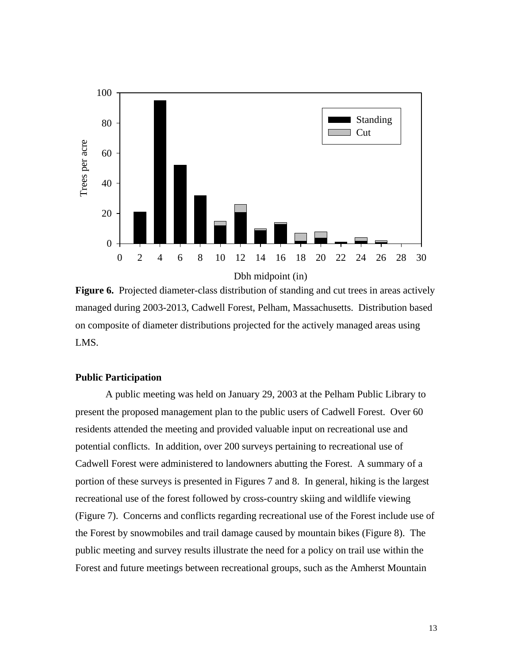

Figure 6. Projected diameter-class distribution of standing and cut trees in areas actively managed during 2003-2013, Cadwell Forest, Pelham, Massachusetts. Distribution based on composite of diameter distributions projected for the actively managed areas using LMS.

# **Public Participation**

A public meeting was held on January 29, 2003 at the Pelham Public Library to present the proposed management plan to the public users of Cadwell Forest. Over 60 residents attended the meeting and provided valuable input on recreational use and potential conflicts. In addition, over 200 surveys pertaining to recreational use of Cadwell Forest were administered to landowners abutting the Forest. A summary of a portion of these surveys is presented in Figures 7 and 8. In general, hiking is the largest recreational use of the forest followed by cross-country skiing and wildlife viewing (Figure 7). Concerns and conflicts regarding recreational use of the Forest include use of the Forest by snowmobiles and trail damage caused by mountain bikes (Figure 8). The public meeting and survey results illustrate the need for a policy on trail use within the Forest and future meetings between recreational groups, such as the Amherst Mountain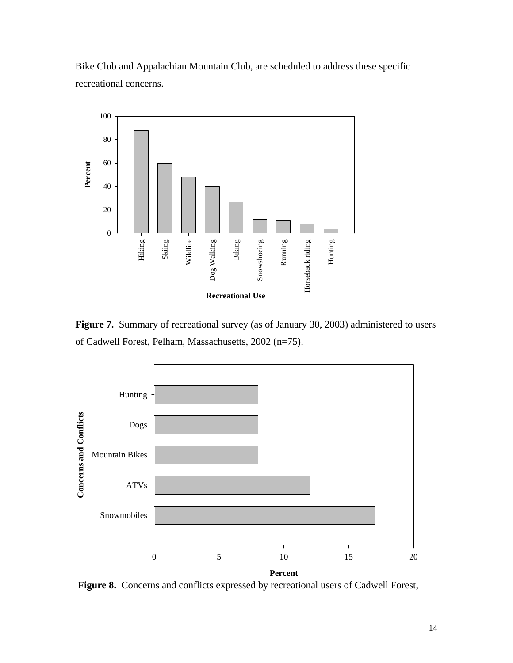



**Figure 7.** Summary of recreational survey (as of January 30, 2003) administered to users of Cadwell Forest, Pelham, Massachusetts, 2002 (n=75).



 **Figure 8.** Concerns and conflicts expressed by recreational users of Cadwell Forest,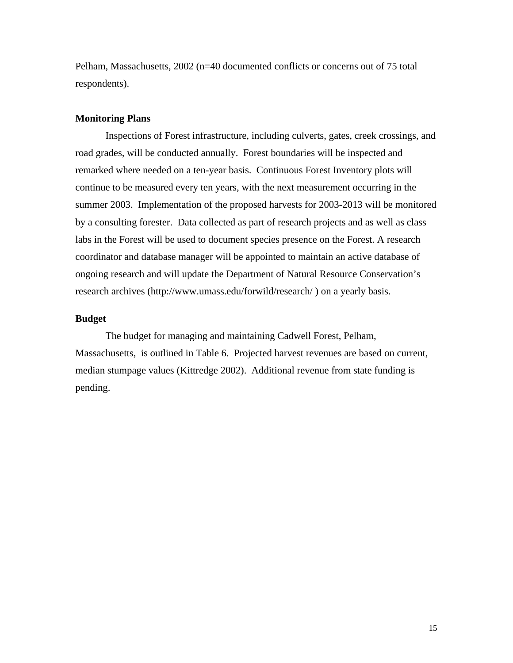Pelham, Massachusetts, 2002 (n=40 documented conflicts or concerns out of 75 total respondents).

# **Monitoring Plans**

Inspections of Forest infrastructure, including culverts, gates, creek crossings, and road grades, will be conducted annually. Forest boundaries will be inspected and remarked where needed on a ten-year basis. Continuous Forest Inventory plots will continue to be measured every ten years, with the next measurement occurring in the summer 2003. Implementation of the proposed harvests for 2003-2013 will be monitored by a consulting forester. Data collected as part of research projects and as well as class labs in the Forest will be used to document species presence on the Forest. A research coordinator and database manager will be appointed to maintain an active database of ongoing research and will update the Department of Natural Resource Conservation's research archives (http://www.umass.edu/forwild/research/ ) on a yearly basis.

# **Budget**

The budget for managing and maintaining Cadwell Forest, Pelham, Massachusetts, is outlined in Table 6. Projected harvest revenues are based on current, median stumpage values (Kittredge 2002). Additional revenue from state funding is pending.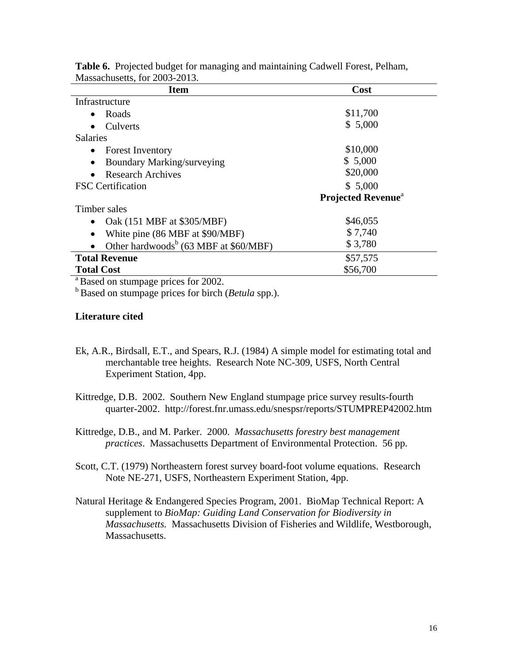| <b>Item</b>                                                    | Cost                                  |
|----------------------------------------------------------------|---------------------------------------|
| Infrastructure                                                 |                                       |
| Roads                                                          | \$11,700                              |
| Culverts                                                       | \$5,000                               |
| <b>Salaries</b>                                                |                                       |
| <b>Forest Inventory</b><br>$\bullet$                           | \$10,000                              |
| <b>Boundary Marking/surveying</b><br>$\bullet$                 | \$5,000                               |
| <b>Research Archives</b>                                       | \$20,000                              |
| <b>FSC</b> Certification                                       | \$5,000                               |
|                                                                | <b>Projected Revenue</b> <sup>a</sup> |
| Timber sales                                                   |                                       |
| Oak (151 MBF at \$305/MBF)                                     | \$46,055                              |
| White pine (86 MBF at \$90/MBF)<br>٠                           | \$7,740                               |
| Other hardwoods <sup>b</sup> (63 MBF at \$60/MBF)<br>$\bullet$ | \$3,780                               |
| <b>Total Revenue</b>                                           | \$57,575                              |
| <b>Total Cost</b>                                              | \$56,700                              |

**Table 6.** Projected budget for managing and maintaining Cadwell Forest, Pelham, Massachusetts, for 2003-2013.

<sup>a</sup> Based on stumpage prices for 2002.

b Based on stumpage prices for birch (*Betula* spp.).

# **Literature cited**

- Ek, A.R., Birdsall, E.T., and Spears, R.J. (1984) A simple model for estimating total and merchantable tree heights. Research Note NC-309, USFS, North Central Experiment Station, 4pp.
- Kittredge, D.B. 2002. Southern New England stumpage price survey results-fourth quarter-2002. http://forest.fnr.umass.edu/snespsr/reports/STUMPREP42002.htm
- Kittredge, D.B., and M. Parker. 2000. *Massachusetts forestry best management practices*. Massachusetts Department of Environmental Protection. 56 pp.

Scott, C.T. (1979) Northeastern forest survey board-foot volume equations. Research Note NE-271, USFS, Northeastern Experiment Station, 4pp.

Natural Heritage & Endangered Species Program, 2001. BioMap Technical Report: A supplement to *BioMap: Guiding Land Conservation for Biodiversity in Massachusetts.* Massachusetts Division of Fisheries and Wildlife, Westborough, **Massachusetts**.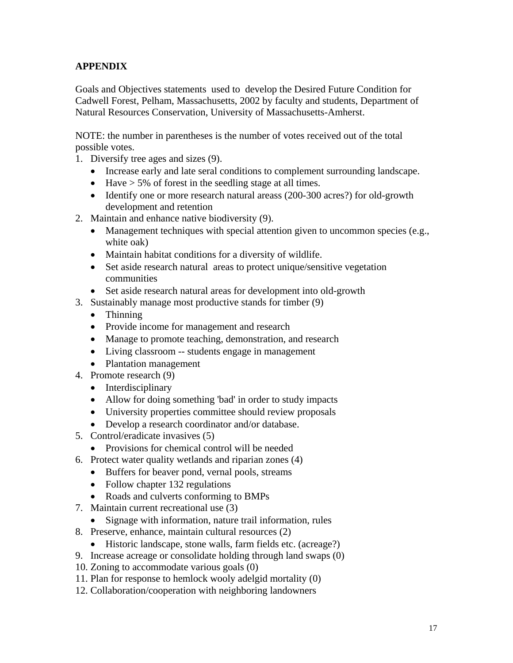# **APPENDIX**

Goals and Objectives statements used to develop the Desired Future Condition for Cadwell Forest, Pelham, Massachusetts, 2002 by faculty and students, Department of Natural Resources Conservation, University of Massachusetts-Amherst.

NOTE: the number in parentheses is the number of votes received out of the total possible votes.

- 1. Diversify tree ages and sizes (9).
	- Increase early and late seral conditions to complement surrounding landscape.
	- Have  $> 5\%$  of forest in the seedling stage at all times.
	- Identify one or more research natural areass (200-300 acres?) for old-growth development and retention
- 2. Maintain and enhance native biodiversity (9).
	- Management techniques with special attention given to uncommon species (e.g., white oak)
	- Maintain habitat conditions for a diversity of wildlife.
	- Set aside research natural areas to protect unique/sensitive vegetation communities
	- Set aside research natural areas for development into old-growth
- 3. Sustainably manage most productive stands for timber (9)
	- Thinning
	- Provide income for management and research
	- Manage to promote teaching, demonstration, and research
	- Living classroom -- students engage in management
	- Plantation management
- 4. Promote research (9)
	- Interdisciplinary
	- Allow for doing something 'bad' in order to study impacts
	- University properties committee should review proposals
	- Develop a research coordinator and/or database.
- 5. Control/eradicate invasives (5)
	- Provisions for chemical control will be needed
- 6. Protect water quality wetlands and riparian zones (4)
	- Buffers for beaver pond, vernal pools, streams
	- Follow chapter 132 regulations
	- Roads and culverts conforming to BMPs
- 7. Maintain current recreational use (3)
	- Signage with information, nature trail information, rules
- 8. Preserve, enhance, maintain cultural resources (2)
	- Historic landscape, stone walls, farm fields etc. (acreage?)
- 9. Increase acreage or consolidate holding through land swaps (0)
- 10. Zoning to accommodate various goals (0)
- 11. Plan for response to hemlock wooly adelgid mortality (0)
- 12. Collaboration/cooperation with neighboring landowners